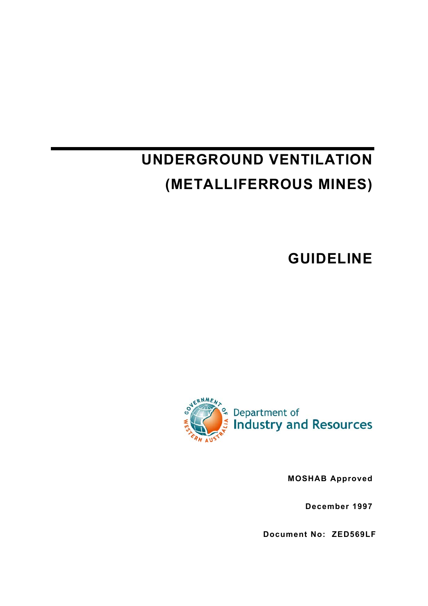# **UNDERGROUND VENTILATION (METALLIFERROUS MINES)**

**GUIDELINE** 



**MOSHAB Approved** 

**December 1997**

**Document No: ZED569LF**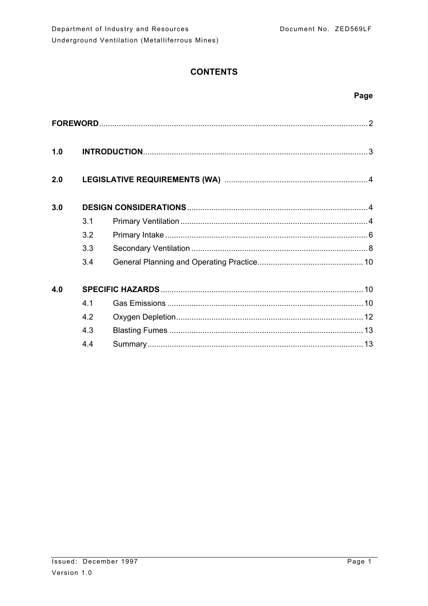# **CONTENTS**

## Page

| 1.0 |     |  |  |  |
|-----|-----|--|--|--|
| 2.0 |     |  |  |  |
| 3.0 |     |  |  |  |
|     | 3.1 |  |  |  |
|     | 3.2 |  |  |  |
|     | 3.3 |  |  |  |
|     | 3.4 |  |  |  |
| 4.0 |     |  |  |  |
|     | 4 1 |  |  |  |
|     | 4.2 |  |  |  |
|     | 4.3 |  |  |  |
|     | 4.4 |  |  |  |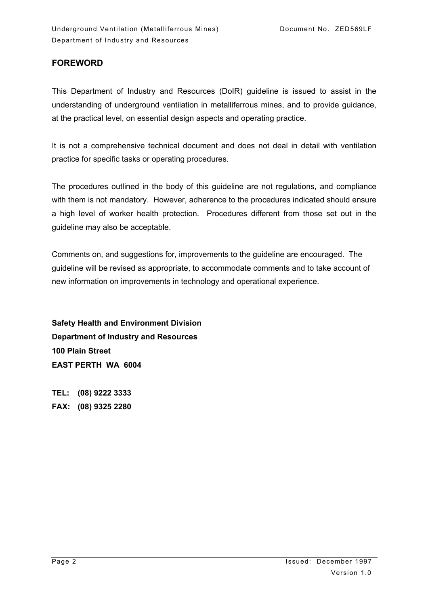## **FOREWORD**

This Department of Industry and Resources (DoIR) guideline is issued to assist in the understanding of underground ventilation in metalliferrous mines, and to provide guidance, at the practical level, on essential design aspects and operating practice.

It is not a comprehensive technical document and does not deal in detail with ventilation practice for specific tasks or operating procedures.

The procedures outlined in the body of this guideline are not regulations, and compliance with them is not mandatory. However, adherence to the procedures indicated should ensure a high level of worker health protection. Procedures different from those set out in the guideline may also be acceptable.

Comments on, and suggestions for, improvements to the guideline are encouraged. The guideline will be revised as appropriate, to accommodate comments and to take account of new information on improvements in technology and operational experience.

**Safety Health and Environment Division Department of Industry and Resources 100 Plain Street EAST PERTH WA 6004** 

**TEL: (08) 9222 3333 FAX: (08) 9325 2280**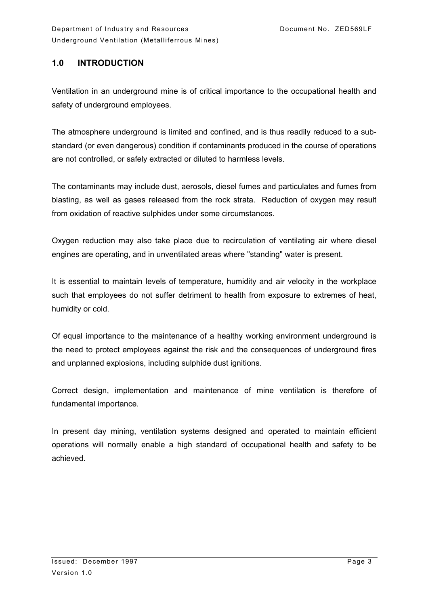## **1.0 INTRODUCTION**

Ventilation in an underground mine is of critical importance to the occupational health and safety of underground employees.

The atmosphere underground is limited and confined, and is thus readily reduced to a substandard (or even dangerous) condition if contaminants produced in the course of operations are not controlled, or safely extracted or diluted to harmless levels.

The contaminants may include dust, aerosols, diesel fumes and particulates and fumes from blasting, as well as gases released from the rock strata. Reduction of oxygen may result from oxidation of reactive sulphides under some circumstances.

Oxygen reduction may also take place due to recirculation of ventilating air where diesel engines are operating, and in unventilated areas where "standing" water is present.

It is essential to maintain levels of temperature, humidity and air velocity in the workplace such that employees do not suffer detriment to health from exposure to extremes of heat, humidity or cold.

Of equal importance to the maintenance of a healthy working environment underground is the need to protect employees against the risk and the consequences of underground fires and unplanned explosions, including sulphide dust ignitions.

Correct design, implementation and maintenance of mine ventilation is therefore of fundamental importance.

In present day mining, ventilation systems designed and operated to maintain efficient operations will normally enable a high standard of occupational health and safety to be achieved.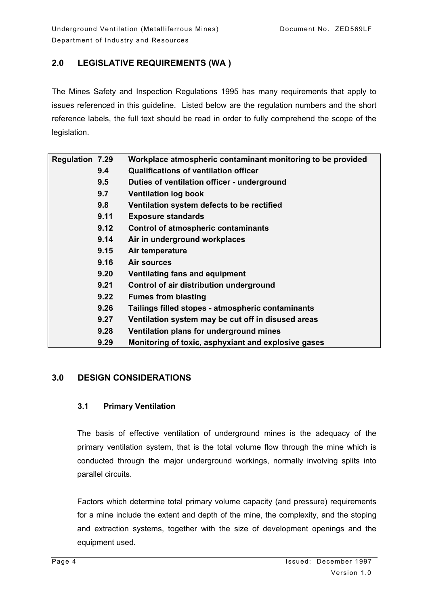## **2.0 LEGISLATIVE REQUIREMENTS (WA )**

The Mines Safety and Inspection Regulations 1995 has many requirements that apply to issues referenced in this guideline. Listed below are the regulation numbers and the short reference labels, the full text should be read in order to fully comprehend the scope of the legislation.

| <b>Regulation 7.29</b> |      | Workplace atmospheric contaminant monitoring to be provided |
|------------------------|------|-------------------------------------------------------------|
|                        | 9.4  | <b>Qualifications of ventilation officer</b>                |
|                        | 9.5  | Duties of ventilation officer - underground                 |
|                        | 9.7  | <b>Ventilation log book</b>                                 |
|                        | 9.8  | Ventilation system defects to be rectified                  |
|                        | 9.11 | <b>Exposure standards</b>                                   |
|                        | 9.12 | <b>Control of atmospheric contaminants</b>                  |
|                        | 9.14 | Air in underground workplaces                               |
|                        | 9.15 | Air temperature                                             |
|                        | 9.16 | <b>Air sources</b>                                          |
|                        | 9.20 | Ventilating fans and equipment                              |
|                        | 9.21 | Control of air distribution underground                     |
|                        | 9.22 | <b>Fumes from blasting</b>                                  |
|                        | 9.26 | Tailings filled stopes - atmospheric contaminants           |
|                        | 9.27 | Ventilation system may be cut off in disused areas          |
|                        | 9.28 | Ventilation plans for underground mines                     |
|                        | 9.29 | Monitoring of toxic, asphyxiant and explosive gases         |
|                        |      |                                                             |

## **3.0 DESIGN CONSIDERATIONS**

## **3.1 Primary Ventilation**

The basis of effective ventilation of underground mines is the adequacy of the primary ventilation system, that is the total volume flow through the mine which is conducted through the major underground workings, normally involving splits into parallel circuits.

Factors which determine total primary volume capacity (and pressure) requirements for a mine include the extent and depth of the mine, the complexity, and the stoping and extraction systems, together with the size of development openings and the equipment used.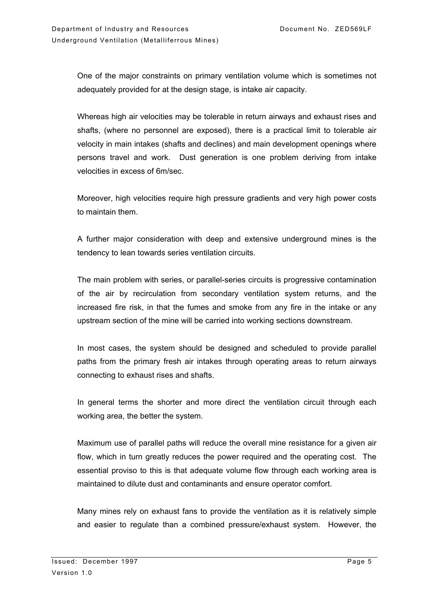One of the major constraints on primary ventilation volume which is sometimes not adequately provided for at the design stage, is intake air capacity.

Whereas high air velocities may be tolerable in return airways and exhaust rises and shafts, (where no personnel are exposed), there is a practical limit to tolerable air velocity in main intakes (shafts and declines) and main development openings where persons travel and work. Dust generation is one problem deriving from intake velocities in excess of 6m/sec.

Moreover, high velocities require high pressure gradients and very high power costs to maintain them.

A further major consideration with deep and extensive underground mines is the tendency to lean towards series ventilation circuits.

The main problem with series, or parallel-series circuits is progressive contamination of the air by recirculation from secondary ventilation system returns, and the increased fire risk, in that the fumes and smoke from any fire in the intake or any upstream section of the mine will be carried into working sections downstream.

In most cases, the system should be designed and scheduled to provide parallel paths from the primary fresh air intakes through operating areas to return airways connecting to exhaust rises and shafts.

In general terms the shorter and more direct the ventilation circuit through each working area, the better the system.

Maximum use of parallel paths will reduce the overall mine resistance for a given air flow, which in turn greatly reduces the power required and the operating cost. The essential proviso to this is that adequate volume flow through each working area is maintained to dilute dust and contaminants and ensure operator comfort.

Many mines rely on exhaust fans to provide the ventilation as it is relatively simple and easier to regulate than a combined pressure/exhaust system. However, the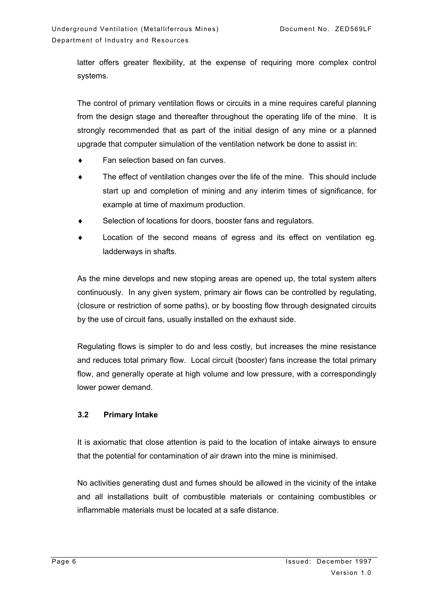latter offers greater flexibility, at the expense of requiring more complex control systems.

The control of primary ventilation flows or circuits in a mine requires careful planning from the design stage and thereafter throughout the operating life of the mine. It is strongly recommended that as part of the initial design of any mine or a planned upgrade that computer simulation of the ventilation network be done to assist in:

- Fan selection based on fan curves.
- ♦ The effect of ventilation changes over the life of the mine. This should include start up and completion of mining and any interim times of significance, for example at time of maximum production.
- Selection of locations for doors, booster fans and regulators.
- Location of the second means of egress and its effect on ventilation eg. ladderways in shafts.

As the mine develops and new stoping areas are opened up, the total system alters continuously. In any given system, primary air flows can be controlled by regulating, (closure or restriction of some paths), or by boosting flow through designated circuits by the use of circuit fans, usually installed on the exhaust side.

Regulating flows is simpler to do and less costly, but increases the mine resistance and reduces total primary flow. Local circuit (booster) fans increase the total primary flow, and generally operate at high volume and low pressure, with a correspondingly lower power demand.

#### **3.2 Primary Intake**

It is axiomatic that close attention is paid to the location of intake airways to ensure that the potential for contamination of air drawn into the mine is minimised.

No activities generating dust and fumes should be allowed in the vicinity of the intake and all installations built of combustible materials or containing combustibles or inflammable materials must be located at a safe distance.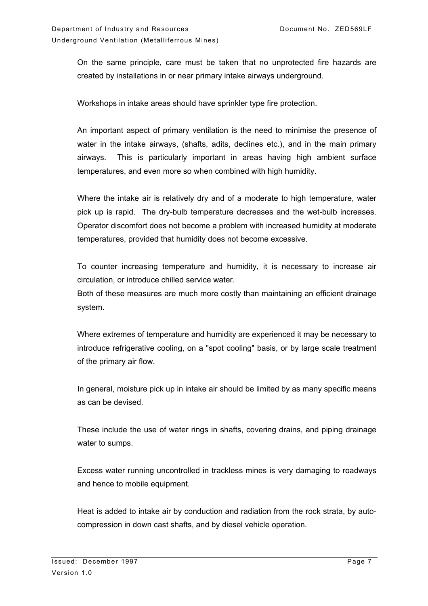On the same principle, care must be taken that no unprotected fire hazards are created by installations in or near primary intake airways underground.

Workshops in intake areas should have sprinkler type fire protection.

An important aspect of primary ventilation is the need to minimise the presence of water in the intake airways, (shafts, adits, declines etc.), and in the main primary airways. This is particularly important in areas having high ambient surface temperatures, and even more so when combined with high humidity.

Where the intake air is relatively dry and of a moderate to high temperature, water pick up is rapid. The dry-bulb temperature decreases and the wet-bulb increases. Operator discomfort does not become a problem with increased humidity at moderate temperatures, provided that humidity does not become excessive.

To counter increasing temperature and humidity, it is necessary to increase air circulation, or introduce chilled service water.

Both of these measures are much more costly than maintaining an efficient drainage system.

Where extremes of temperature and humidity are experienced it may be necessary to introduce refrigerative cooling, on a "spot cooling" basis, or by large scale treatment of the primary air flow.

In general, moisture pick up in intake air should be limited by as many specific means as can be devised.

These include the use of water rings in shafts, covering drains, and piping drainage water to sumps.

Excess water running uncontrolled in trackless mines is very damaging to roadways and hence to mobile equipment.

Heat is added to intake air by conduction and radiation from the rock strata, by autocompression in down cast shafts, and by diesel vehicle operation.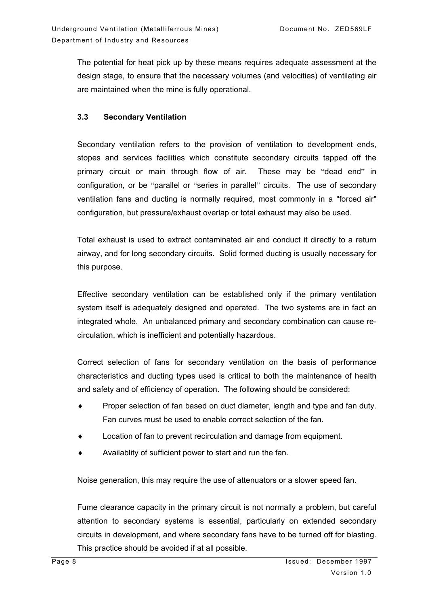The potential for heat pick up by these means requires adequate assessment at the design stage, to ensure that the necessary volumes (and velocities) of ventilating air are maintained when the mine is fully operational.

#### **3.3 Secondary Ventilation**

Secondary ventilation refers to the provision of ventilation to development ends, stopes and services facilities which constitute secondary circuits tapped off the primary circuit or main through flow of air. These may be "dead end" in configuration, or be "parallel or "series in parallel" circuits. The use of secondary ventilation fans and ducting is normally required, most commonly in a "forced air" configuration, but pressure/exhaust overlap or total exhaust may also be used.

Total exhaust is used to extract contaminated air and conduct it directly to a return airway, and for long secondary circuits. Solid formed ducting is usually necessary for this purpose.

Effective secondary ventilation can be established only if the primary ventilation system itself is adequately designed and operated. The two systems are in fact an integrated whole. An unbalanced primary and secondary combination can cause recirculation, which is inefficient and potentially hazardous.

Correct selection of fans for secondary ventilation on the basis of performance characteristics and ducting types used is critical to both the maintenance of health and safety and of efficiency of operation. The following should be considered:

- Proper selection of fan based on duct diameter, length and type and fan duty. Fan curves must be used to enable correct selection of the fan.
- Location of fan to prevent recirculation and damage from equipment.
- Availablity of sufficient power to start and run the fan.

Noise generation, this may require the use of attenuators or a slower speed fan.

Fume clearance capacity in the primary circuit is not normally a problem, but careful attention to secondary systems is essential, particularly on extended secondary circuits in development, and where secondary fans have to be turned off for blasting. This practice should be avoided if at all possible.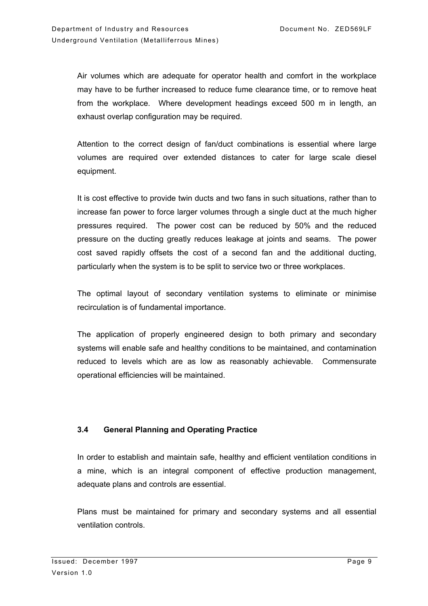Air volumes which are adequate for operator health and comfort in the workplace may have to be further increased to reduce fume clearance time, or to remove heat from the workplace. Where development headings exceed 500 m in length, an exhaust overlap configuration may be required.

Attention to the correct design of fan/duct combinations is essential where large volumes are required over extended distances to cater for large scale diesel equipment.

It is cost effective to provide twin ducts and two fans in such situations, rather than to increase fan power to force larger volumes through a single duct at the much higher pressures required. The power cost can be reduced by 50% and the reduced pressure on the ducting greatly reduces leakage at joints and seams. The power cost saved rapidly offsets the cost of a second fan and the additional ducting, particularly when the system is to be split to service two or three workplaces.

The optimal layout of secondary ventilation systems to eliminate or minimise recirculation is of fundamental importance.

The application of properly engineered design to both primary and secondary systems will enable safe and healthy conditions to be maintained, and contamination reduced to levels which are as low as reasonably achievable. Commensurate operational efficiencies will be maintained.

## **3.4 General Planning and Operating Practice**

In order to establish and maintain safe, healthy and efficient ventilation conditions in a mine, which is an integral component of effective production management, adequate plans and controls are essential.

Plans must be maintained for primary and secondary systems and all essential ventilation controls.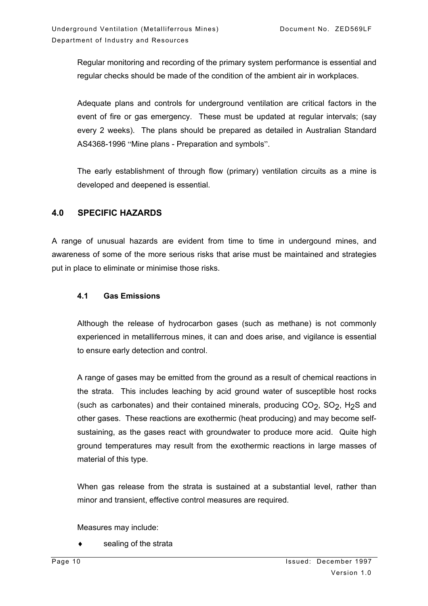Regular monitoring and recording of the primary system performance is essential and regular checks should be made of the condition of the ambient air in workplaces.

Adequate plans and controls for underground ventilation are critical factors in the event of fire or gas emergency. These must be updated at regular intervals; (say every 2 weeks). The plans should be prepared as detailed in Australian Standard AS4368-1996 "Mine plans - Preparation and symbols".

The early establishment of through flow (primary) ventilation circuits as a mine is developed and deepened is essential.

## **4.0 SPECIFIC HAZARDS**

A range of unusual hazards are evident from time to time in undergound mines, and awareness of some of the more serious risks that arise must be maintained and strategies put in place to eliminate or minimise those risks.

#### **4.1 Gas Emissions**

Although the release of hydrocarbon gases (such as methane) is not commonly experienced in metalliferrous mines, it can and does arise, and vigilance is essential to ensure early detection and control.

A range of gases may be emitted from the ground as a result of chemical reactions in the strata. This includes leaching by acid ground water of susceptible host rocks (such as carbonates) and their contained minerals, producing  $CO<sub>2</sub>$ ,  $SO<sub>2</sub>$ , H<sub>2</sub>S and other gases. These reactions are exothermic (heat producing) and may become selfsustaining, as the gases react with groundwater to produce more acid. Quite high ground temperatures may result from the exothermic reactions in large masses of material of this type.

When gas release from the strata is sustained at a substantial level, rather than minor and transient, effective control measures are required.

Measures may include:

sealing of the strata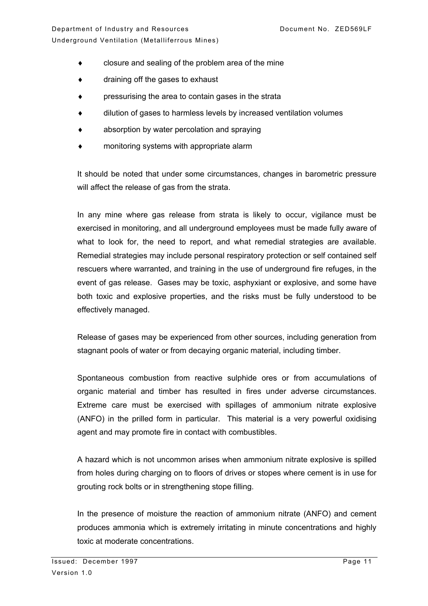- ♦ closure and sealing of the problem area of the mine
- ♦ draining off the gases to exhaust
- ♦ pressurising the area to contain gases in the strata
- dilution of gases to harmless levels by increased ventilation volumes
- absorption by water percolation and spraying
- monitoring systems with appropriate alarm

It should be noted that under some circumstances, changes in barometric pressure will affect the release of gas from the strata.

In any mine where gas release from strata is likely to occur, vigilance must be exercised in monitoring, and all underground employees must be made fully aware of what to look for, the need to report, and what remedial strategies are available. Remedial strategies may include personal respiratory protection or self contained self rescuers where warranted, and training in the use of underground fire refuges, in the event of gas release. Gases may be toxic, asphyxiant or explosive, and some have both toxic and explosive properties, and the risks must be fully understood to be effectively managed.

Release of gases may be experienced from other sources, including generation from stagnant pools of water or from decaying organic material, including timber.

Spontaneous combustion from reactive sulphide ores or from accumulations of organic material and timber has resulted in fires under adverse circumstances. Extreme care must be exercised with spillages of ammonium nitrate explosive (ANFO) in the prilled form in particular. This material is a very powerful oxidising agent and may promote fire in contact with combustibles.

A hazard which is not uncommon arises when ammonium nitrate explosive is spilled from holes during charging on to floors of drives or stopes where cement is in use for grouting rock bolts or in strengthening stope filling.

In the presence of moisture the reaction of ammonium nitrate (ANFO) and cement produces ammonia which is extremely irritating in minute concentrations and highly toxic at moderate concentrations.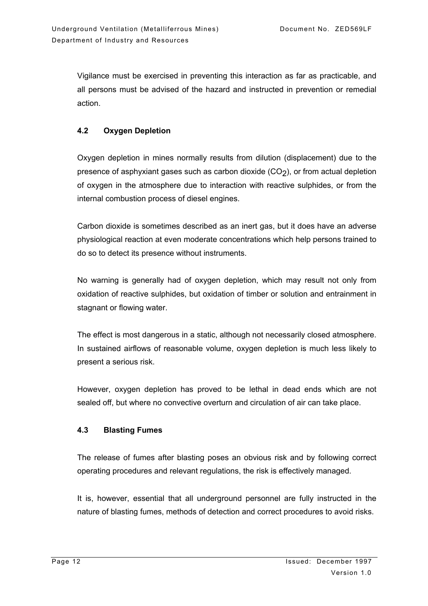Vigilance must be exercised in preventing this interaction as far as practicable, and all persons must be advised of the hazard and instructed in prevention or remedial action.

## **4.2 Oxygen Depletion**

Oxygen depletion in mines normally results from dilution (displacement) due to the presence of asphyxiant gases such as carbon dioxide  $(CO<sub>2</sub>)$ , or from actual depletion of oxygen in the atmosphere due to interaction with reactive sulphides, or from the internal combustion process of diesel engines.

Carbon dioxide is sometimes described as an inert gas, but it does have an adverse physiological reaction at even moderate concentrations which help persons trained to do so to detect its presence without instruments.

No warning is generally had of oxygen depletion, which may result not only from oxidation of reactive sulphides, but oxidation of timber or solution and entrainment in stagnant or flowing water.

The effect is most dangerous in a static, although not necessarily closed atmosphere. In sustained airflows of reasonable volume, oxygen depletion is much less likely to present a serious risk.

However, oxygen depletion has proved to be lethal in dead ends which are not sealed off, but where no convective overturn and circulation of air can take place.

## **4.3 Blasting Fumes**

The release of fumes after blasting poses an obvious risk and by following correct operating procedures and relevant regulations, the risk is effectively managed.

It is, however, essential that all underground personnel are fully instructed in the nature of blasting fumes, methods of detection and correct procedures to avoid risks.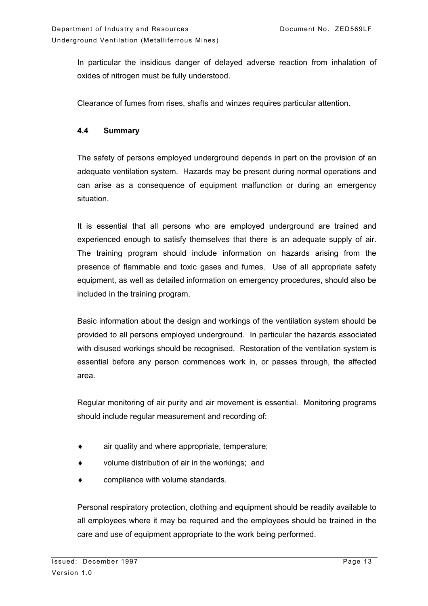In particular the insidious danger of delayed adverse reaction from inhalation of oxides of nitrogen must be fully understood.

Clearance of fumes from rises, shafts and winzes requires particular attention.

#### **4.4 Summary**

The safety of persons employed underground depends in part on the provision of an adequate ventilation system. Hazards may be present during normal operations and can arise as a consequence of equipment malfunction or during an emergency situation.

It is essential that all persons who are employed underground are trained and experienced enough to satisfy themselves that there is an adequate supply of air. The training program should include information on hazards arising from the presence of flammable and toxic gases and fumes. Use of all appropriate safety equipment, as well as detailed information on emergency procedures, should also be included in the training program.

Basic information about the design and workings of the ventilation system should be provided to all persons employed underground. In particular the hazards associated with disused workings should be recognised. Restoration of the ventilation system is essential before any person commences work in, or passes through, the affected area.

Regular monitoring of air purity and air movement is essential. Monitoring programs should include regular measurement and recording of:

- $\bullet$  air quality and where appropriate, temperature;
- volume distribution of air in the workings; and
- compliance with volume standards.

Personal respiratory protection, clothing and equipment should be readily available to all employees where it may be required and the employees should be trained in the care and use of equipment appropriate to the work being performed.